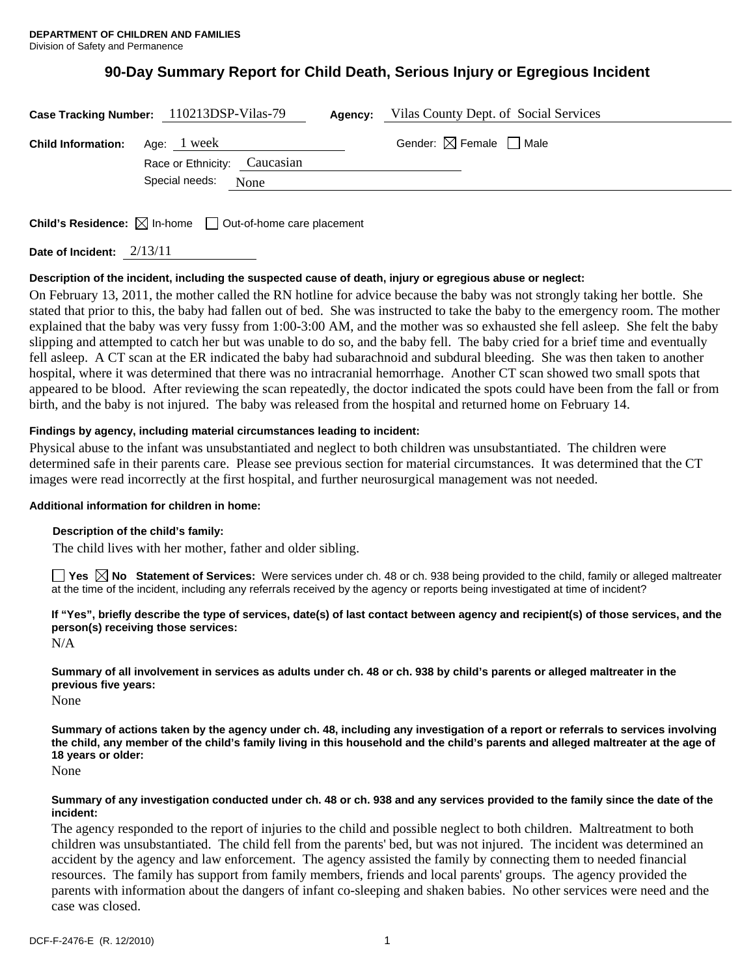# **90-Day Summary Report for Child Death, Serious Injury or Egregious Incident**

|                                         | Case Tracking Number: 110213DSP-Vilas-79 | <b>Agency:</b> Vilas County Dept. of Social Services |
|-----------------------------------------|------------------------------------------|------------------------------------------------------|
| <b>Child Information:</b> Age: $1$ week |                                          | Gender: $\boxtimes$ Female $\Box$ Male               |
|                                         | Race or Ethnicity: Caucasian             |                                                      |
|                                         | Special needs: None                      |                                                      |
|                                         |                                          |                                                      |

**Child's Residence:**  $\boxtimes$  In-home  $\Box$  Out-of-home care placement

**Date of Incident:** 2/13/11

## **Description of the incident, including the suspected cause of death, injury or egregious abuse or neglect:**

On February 13, 2011, the mother called the RN hotline for advice because the baby was not strongly taking her bottle. She stated that prior to this, the baby had fallen out of bed. She was instructed to take the baby to the emergency room. The mother explained that the baby was very fussy from 1:00-3:00 AM, and the mother was so exhausted she fell asleep. She felt the baby slipping and attempted to catch her but was unable to do so, and the baby fell. The baby cried for a brief time and eventually fell asleep. A CT scan at the ER indicated the baby had subarachnoid and subdural bleeding. She was then taken to another hospital, where it was determined that there was no intracranial hemorrhage. Another CT scan showed two small spots that appeared to be blood. After reviewing the scan repeatedly, the doctor indicated the spots could have been from the fall or from birth, and the baby is not injured. The baby was released from the hospital and returned home on February 14.

### **Findings by agency, including material circumstances leading to incident:**

Physical abuse to the infant was unsubstantiated and neglect to both children was unsubstantiated. The children were determined safe in their parents care. Please see previous section for material circumstances. It was determined that the CT images were read incorrectly at the first hospital, and further neurosurgical management was not needed.

### **Additional information for children in home:**

### **Description of the child's family:**

The child lives with her mother, father and older sibling.

■ Yes **No** Statement of Services: Were services under ch. 48 or ch. 938 being provided to the child, family or alleged maltreater at the time of the incident, including any referrals received by the agency or reports being investigated at time of incident?

**If "Yes", briefly describe the type of services, date(s) of last contact between agency and recipient(s) of those services, and the person(s) receiving those services:** 

N/A

**Summary of all involvement in services as adults under ch. 48 or ch. 938 by child's parents or alleged maltreater in the previous five years:** 

None

**Summary of actions taken by the agency under ch. 48, including any investigation of a report or referrals to services involving the child, any member of the child's family living in this household and the child's parents and alleged maltreater at the age of 18 years or older:** 

None

### **Summary of any investigation conducted under ch. 48 or ch. 938 and any services provided to the family since the date of the incident:**

The agency responded to the report of injuries to the child and possible neglect to both children. Maltreatment to both children was unsubstantiated. The child fell from the parents' bed, but was not injured. The incident was determined an accident by the agency and law enforcement. The agency assisted the family by connecting them to needed financial resources. The family has support from family members, friends and local parents' groups. The agency provided the parents with information about the dangers of infant co-sleeping and shaken babies. No other services were need and the case was closed.